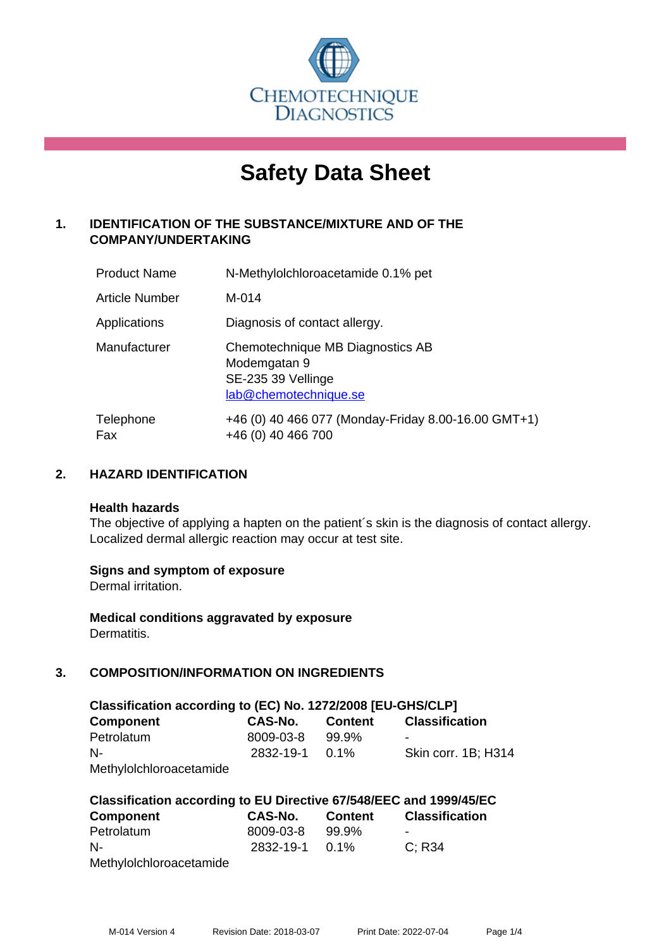

# **Safety Data Sheet**

# **1. IDENTIFICATION OF THE SUBSTANCE/MIXTURE AND OF THE COMPANY/UNDERTAKING**

| <b>Product Name</b> | N-Methylolchloroacetamide 0.1% pet                                                              |
|---------------------|-------------------------------------------------------------------------------------------------|
| Article Number      | $M-014$                                                                                         |
| Applications        | Diagnosis of contact allergy.                                                                   |
| Manufacturer        | Chemotechnique MB Diagnostics AB<br>Modemgatan 9<br>SE-235 39 Vellinge<br>lab@chemotechnique.se |
| Telephone<br>Fax    | +46 (0) 40 466 077 (Monday-Friday 8.00-16.00 GMT+1)<br>+46 (0) 40 466 700                       |

## **2. HAZARD IDENTIFICATION**

#### **Health hazards**

The objective of applying a hapten on the patient's skin is the diagnosis of contact allergy. Localized dermal allergic reaction may occur at test site.

## **Signs and symptom of exposure**

Dermal irritation.

**Medical conditions aggravated by exposure** Dermatitis.

# **3. COMPOSITION/INFORMATION ON INGREDIENTS**

| Classification according to (EC) No. 1272/2008 [EU-GHS/CLP] |                      |                |                       |  |  |  |
|-------------------------------------------------------------|----------------------|----------------|-----------------------|--|--|--|
| <b>Component</b>                                            | CAS-No.              | <b>Content</b> | <b>Classification</b> |  |  |  |
| Petrolatum                                                  | 8009-03-8            | 99.9%          |                       |  |  |  |
| $N-$                                                        | $2832 - 19 - 1$ 0.1% |                | Skin corr. 1B; H314   |  |  |  |
| Methylolchloroacetamide                                     |                      |                |                       |  |  |  |

| Classification according to EU Directive 67/548/EEC and 1999/45/EC |                |         |                       |  |  |  |
|--------------------------------------------------------------------|----------------|---------|-----------------------|--|--|--|
| <b>Component</b>                                                   | CAS-No.        | Content | <b>Classification</b> |  |  |  |
| Petrolatum                                                         | 8009-03-8      | 99.9%   |                       |  |  |  |
| $N-$                                                               | 2832-19-1 0.1% |         | C: R34                |  |  |  |
| Methylolchloroacetamide                                            |                |         |                       |  |  |  |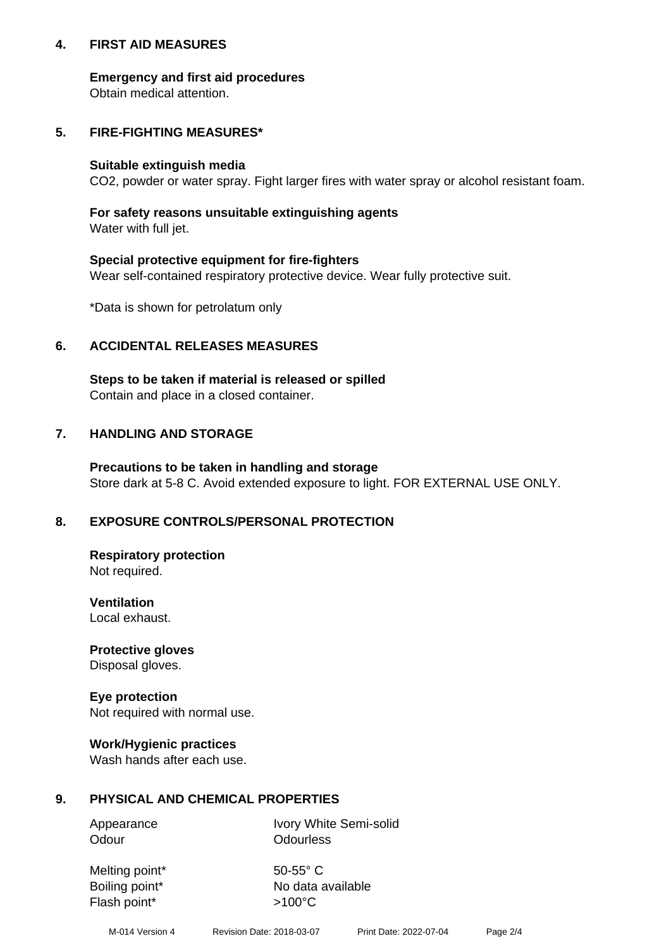## **4. FIRST AID MEASURES**

## **Emergency and first aid procedures**

Obtain medical attention.

# **5. FIRE-FIGHTING MEASURES\***

#### **Suitable extinguish media**

CO2, powder or water spray. Fight larger fires with water spray or alcohol resistant foam.

# **For safety reasons unsuitable extinguishing agents**

Water with full jet.

## **Special protective equipment for fire-fighters**

Wear self-contained respiratory protective device. Wear fully protective suit.

\*Data is shown for petrolatum only

## **6. ACCIDENTAL RELEASES MEASURES**

**Steps to be taken if material is released or spilled** Contain and place in a closed container.

# **7. HANDLING AND STORAGE**

**Precautions to be taken in handling and storage** Store dark at 5-8 C. Avoid extended exposure to light. FOR EXTERNAL USE ONLY.

# **8. EXPOSURE CONTROLS/PERSONAL PROTECTION**

**Respiratory protection** Not required.

**Ventilation** Local exhaust.

**Protective gloves** Disposal gloves.

#### **Eye protection** Not required with normal use.

## **Work/Hygienic practices**

Wash hands after each use.

## **9. PHYSICAL AND CHEMICAL PROPERTIES**

Odour **Odourless** 

Appearance Ivory White Semi-solid

Melting point\* 50-55° C Flash point\*  $>100^{\circ}$ C

Boiling point\* No data available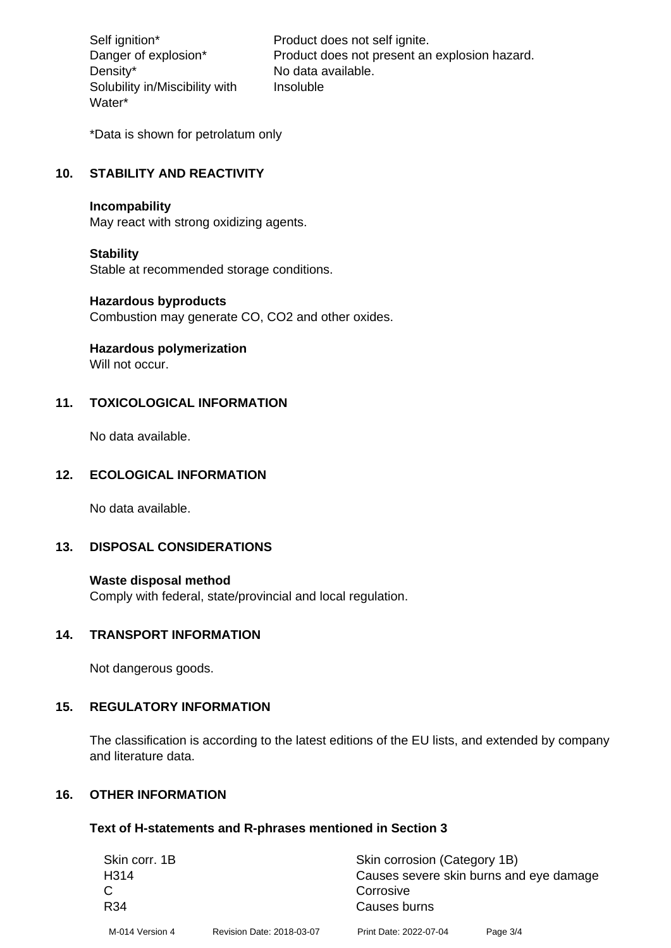Density\* No data available. Solubility in/Miscibility with Water\*

Self ignition\* Product does not self ignite. Danger of explosion\* Product does not present an explosion hazard. Insoluble

\*Data is shown for petrolatum only

# **10. STABILITY AND REACTIVITY**

#### **Incompability**

May react with strong oxidizing agents.

#### **Stability**

Stable at recommended storage conditions.

#### **Hazardous byproducts**

Combustion may generate CO, CO2 and other oxides.

**Hazardous polymerization**

Will not occur.

#### **11. TOXICOLOGICAL INFORMATION**

No data available.

#### **12. ECOLOGICAL INFORMATION**

No data available.

## **13. DISPOSAL CONSIDERATIONS**

#### **Waste disposal method**

Comply with federal, state/provincial and local regulation.

#### **14. TRANSPORT INFORMATION**

Not dangerous goods.

## **15. REGULATORY INFORMATION**

The classification is according to the latest editions of the EU lists, and extended by company and literature data.

#### **16. OTHER INFORMATION**

#### **Text of H-statements and R-phrases mentioned in Section 3**

| Skin corr. 1B    |                           | Skin corrosion (Category 1B)            |          |  |
|------------------|---------------------------|-----------------------------------------|----------|--|
| H <sub>314</sub> |                           | Causes severe skin burns and eye damage |          |  |
|                  |                           | Corrosive                               |          |  |
| R34              |                           | Causes burns                            |          |  |
| M-014 Version 4  | Revision Date: 2018-03-07 | Print Date: 2022-07-04                  | Page 3/4 |  |